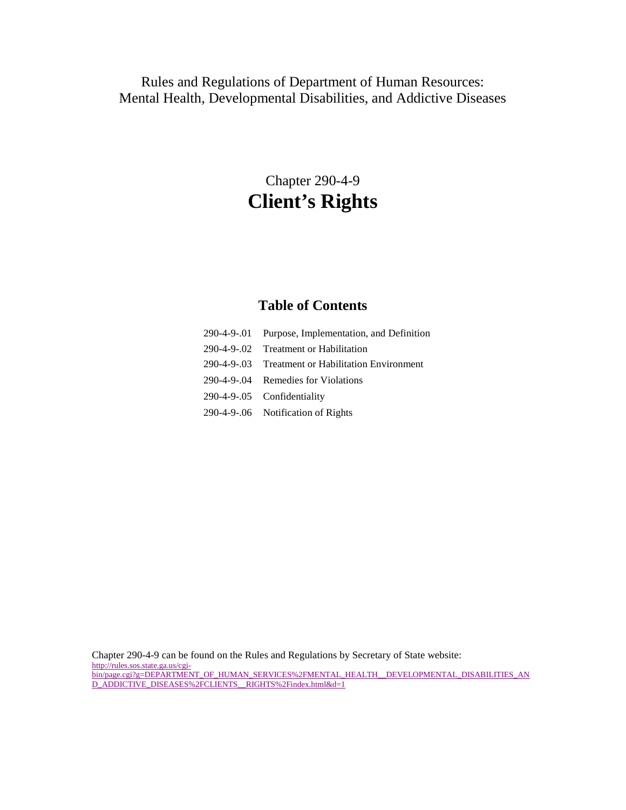# Rules and Regulations of Department of Human Resources: Mental Health, Developmental Disabilities, and Addictive Diseases

# Chapter 290-4-9 **Client's Rights**

#### **Table of Contents**

- 290-4-9-.01 Purpose, Implementation, and Definition 290-4-9-.02 Treatment or Habilitation 290-4-9-.03 Treatment or Habilitation Environment 290-4-9-.04 Remedies for Violations 290-4-9-.05 Confidentiality
- 290-4-9-.06 Notification of Rights

Chapter 290-4-9 can be found on the Rules and Regulations by Secretary of State website: [http://rules.sos.state.ga.us/cgi](http://rules.sos.state.ga.us/cgi-bin/page.cgi?g=DEPARTMENT_OF_HUMAN_SERVICES%2FMENTAL_HEALTH__DEVELOPMENTAL_DISABILITIES_AND_ADDICTIVE_DISEASES%2FCLIENTS__RIGHTS%2Findex.html&d=1)[bin/page.cgi?g=DEPARTMENT\\_OF\\_HUMAN\\_SERVICES%2FMENTAL\\_HEALTH\\_\\_DEVELOPMENTAL\\_DISABILITIES\\_AN](http://rules.sos.state.ga.us/cgi-bin/page.cgi?g=DEPARTMENT_OF_HUMAN_SERVICES%2FMENTAL_HEALTH__DEVELOPMENTAL_DISABILITIES_AND_ADDICTIVE_DISEASES%2FCLIENTS__RIGHTS%2Findex.html&d=1) [D\\_ADDICTIVE\\_DISEASES%2FCLIENTS\\_\\_RIGHTS%2Findex.html&d=1](http://rules.sos.state.ga.us/cgi-bin/page.cgi?g=DEPARTMENT_OF_HUMAN_SERVICES%2FMENTAL_HEALTH__DEVELOPMENTAL_DISABILITIES_AND_ADDICTIVE_DISEASES%2FCLIENTS__RIGHTS%2Findex.html&d=1)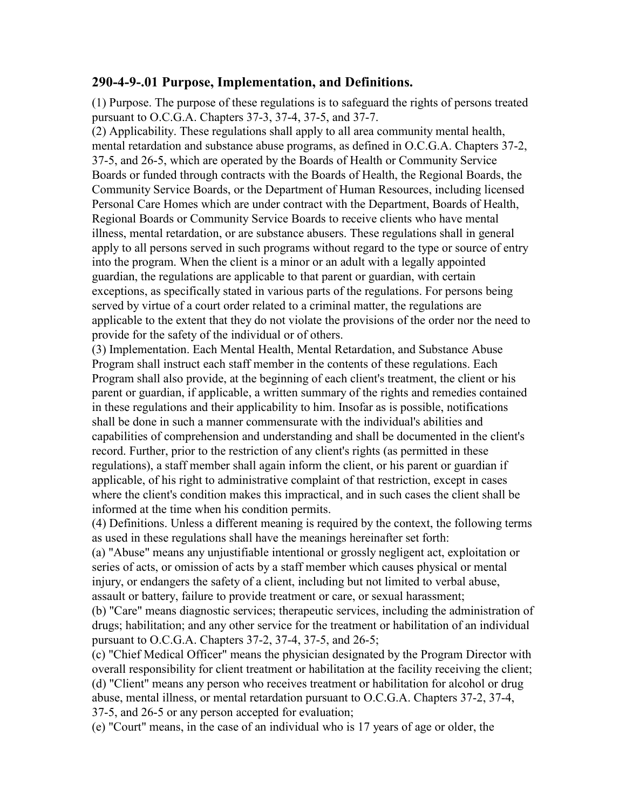#### **290-4-9-.01 Purpose, Implementation, and Definitions.**

(1) Purpose. The purpose of these regulations is to safeguard the rights of persons treated pursuant to O.C.G.A. Chapters 37-3, 37-4, 37-5, and 37-7.

(2) Applicability. These regulations shall apply to all area community mental health, mental retardation and substance abuse programs, as defined in O.C.G.A. Chapters 37-2, 37-5, and 26-5, which are operated by the Boards of Health or Community Service Boards or funded through contracts with the Boards of Health, the Regional Boards, the Community Service Boards, or the Department of Human Resources, including licensed Personal Care Homes which are under contract with the Department, Boards of Health, Regional Boards or Community Service Boards to receive clients who have mental illness, mental retardation, or are substance abusers. These regulations shall in general apply to all persons served in such programs without regard to the type or source of entry into the program. When the client is a minor or an adult with a legally appointed guardian, the regulations are applicable to that parent or guardian, with certain exceptions, as specifically stated in various parts of the regulations. For persons being served by virtue of a court order related to a criminal matter, the regulations are applicable to the extent that they do not violate the provisions of the order nor the need to provide for the safety of the individual or of others.

(3) Implementation. Each Mental Health, Mental Retardation, and Substance Abuse Program shall instruct each staff member in the contents of these regulations. Each Program shall also provide, at the beginning of each client's treatment, the client or his parent or guardian, if applicable, a written summary of the rights and remedies contained in these regulations and their applicability to him. Insofar as is possible, notifications shall be done in such a manner commensurate with the individual's abilities and capabilities of comprehension and understanding and shall be documented in the client's record. Further, prior to the restriction of any client's rights (as permitted in these regulations), a staff member shall again inform the client, or his parent or guardian if applicable, of his right to administrative complaint of that restriction, except in cases where the client's condition makes this impractical, and in such cases the client shall be informed at the time when his condition permits.

(4) Definitions. Unless a different meaning is required by the context, the following terms as used in these regulations shall have the meanings hereinafter set forth:

(a) "Abuse" means any unjustifiable intentional or grossly negligent act, exploitation or series of acts, or omission of acts by a staff member which causes physical or mental injury, or endangers the safety of a client, including but not limited to verbal abuse, assault or battery, failure to provide treatment or care, or sexual harassment;

(b) "Care" means diagnostic services; therapeutic services, including the administration of drugs; habilitation; and any other service for the treatment or habilitation of an individual pursuant to O.C.G.A. Chapters 37-2, 37-4, 37-5, and 26-5;

(c) "Chief Medical Officer" means the physician designated by the Program Director with overall responsibility for client treatment or habilitation at the facility receiving the client; (d) "Client" means any person who receives treatment or habilitation for alcohol or drug abuse, mental illness, or mental retardation pursuant to O.C.G.A. Chapters 37-2, 37-4, 37-5, and 26-5 or any person accepted for evaluation;

(e) "Court" means, in the case of an individual who is 17 years of age or older, the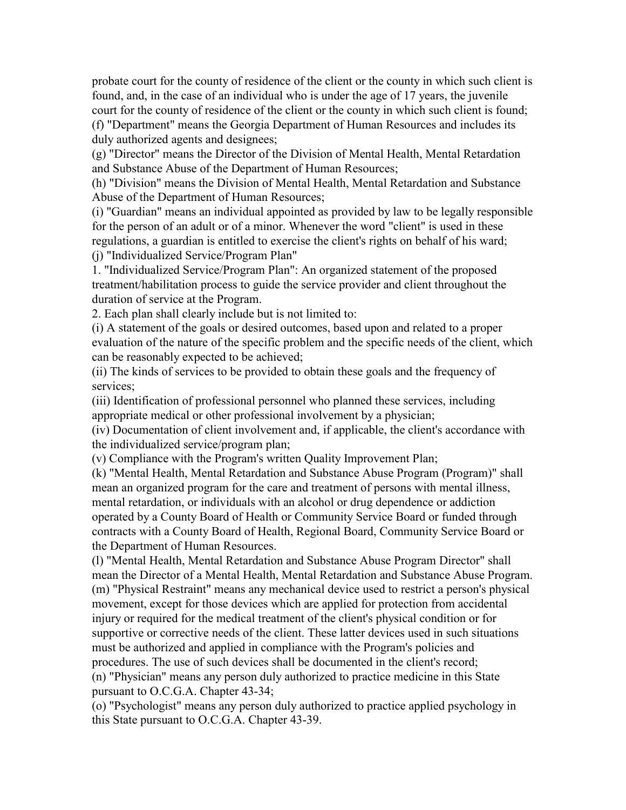probate court for the county of residence of the client or the county in which such client is found, and, in the case of an individual who is under the age of 17 years, the juvenile court for the county of residence of the client or the county in which such client is found; (f) "Department" means the Georgia Department of Human Resources and includes its duly authorized agents and designees;

(g) "Director" means the Director of the Division of Mental Health, Mental Retardation and Substance Abuse of the Department of Human Resources;

(h) "Division" means the Division of Mental Health, Mental Retardation and Substance Abuse of the Department of Human Resources;

(i) "Guardian" means an individual appointed as provided by law to be legally responsible for the person of an adult or of a minor. Whenever the word "client" is used in these regulations, a guardian is entitled to exercise the client's rights on behalf of his ward; (j) "Individualized Service/Program Plan"

1. "Individualized Service/Program Plan": An organized statement of the proposed treatment/habilitation process to guide the service provider and client throughout the duration of service at the Program.

2. Each plan shall clearly include but is not limited to:

(i) A statement of the goals or desired outcomes, based upon and related to a proper evaluation of the nature of the specific problem and the specific needs of the client, which can be reasonably expected to be achieved;

(ii) The kinds of services to be provided to obtain these goals and the frequency of services;

(iii) Identification of professional personnel who planned these services, including appropriate medical or other professional involvement by a physician;

(iv) Documentation of client involvement and, if applicable, the client's accordance with the individualized service/program plan;

(v) Compliance with the Program's written Quality Improvement Plan;

(k) "Mental Health, Mental Retardation and Substance Abuse Program (Program)" shall mean an organized program for the care and treatment of persons with mental illness, mental retardation, or individuals with an alcohol or drug dependence or addiction operated by a County Board of Health or Community Service Board or funded through contracts with a County Board of Health, Regional Board, Community Service Board or the Department of Human Resources.

(l) "Mental Health, Mental Retardation and Substance Abuse Program Director" shall mean the Director of a Mental Health, Mental Retardation and Substance Abuse Program. (m) "Physical Restraint" means any mechanical device used to restrict a person's physical movement, except for those devices which are applied for protection from accidental injury or required for the medical treatment of the client's physical condition or for supportive or corrective needs of the client. These latter devices used in such situations must be authorized and applied in compliance with the Program's policies and procedures. The use of such devices shall be documented in the client's record;

(n) "Physician" means any person duly authorized to practice medicine in this State pursuant to O.C.G.A. Chapter 43-34;

(o) "Psychologist" means any person duly authorized to practice applied psychology in this State pursuant to O.C.G.A. Chapter 43-39.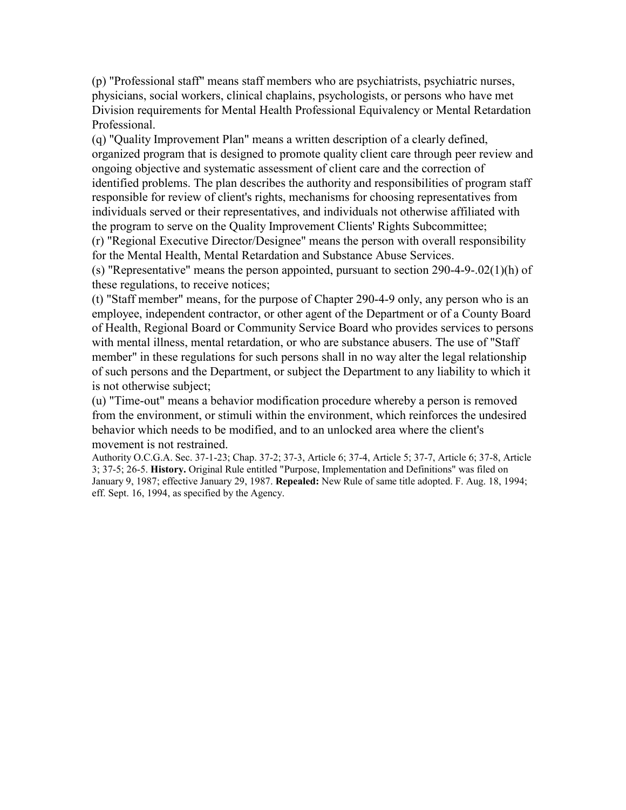(p) "Professional staff" means staff members who are psychiatrists, psychiatric nurses, physicians, social workers, clinical chaplains, psychologists, or persons who have met Division requirements for Mental Health Professional Equivalency or Mental Retardation Professional.

(q) "Quality Improvement Plan" means a written description of a clearly defined, organized program that is designed to promote quality client care through peer review and ongoing objective and systematic assessment of client care and the correction of identified problems. The plan describes the authority and responsibilities of program staff responsible for review of client's rights, mechanisms for choosing representatives from individuals served or their representatives, and individuals not otherwise affiliated with the program to serve on the Quality Improvement Clients' Rights Subcommittee;

(r) "Regional Executive Director/Designee" means the person with overall responsibility for the Mental Health, Mental Retardation and Substance Abuse Services.

(s) "Representative" means the person appointed, pursuant to section 290-4-9-.02(1)(h) of these regulations, to receive notices;

(t) "Staff member" means, for the purpose of Chapter 290-4-9 only, any person who is an employee, independent contractor, or other agent of the Department or of a County Board of Health, Regional Board or Community Service Board who provides services to persons with mental illness, mental retardation, or who are substance abusers. The use of "Staff member" in these regulations for such persons shall in no way alter the legal relationship of such persons and the Department, or subject the Department to any liability to which it is not otherwise subject;

(u) "Time-out" means a behavior modification procedure whereby a person is removed from the environment, or stimuli within the environment, which reinforces the undesired behavior which needs to be modified, and to an unlocked area where the client's movement is not restrained.

Authority O.C.G.A. Sec. 37-1-23; Chap. 37-2; 37-3, Article 6; 37-4, Article 5; 37-7, Article 6; 37-8, Article 3; 37-5; 26-5. **History.** Original Rule entitled "Purpose, Implementation and Definitions" was filed on January 9, 1987; effective January 29, 1987. **Repealed:** New Rule of same title adopted. F. Aug. 18, 1994; eff. Sept. 16, 1994, as specified by the Agency.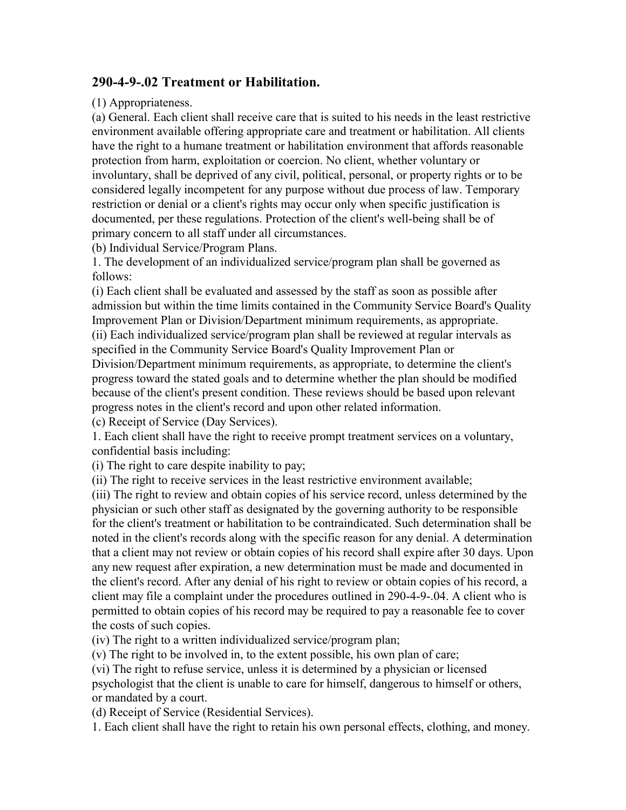### **290-4-9-.02 Treatment or Habilitation.**

(1) Appropriateness.

(a) General. Each client shall receive care that is suited to his needs in the least restrictive environment available offering appropriate care and treatment or habilitation. All clients have the right to a humane treatment or habilitation environment that affords reasonable protection from harm, exploitation or coercion. No client, whether voluntary or involuntary, shall be deprived of any civil, political, personal, or property rights or to be considered legally incompetent for any purpose without due process of law. Temporary restriction or denial or a client's rights may occur only when specific justification is documented, per these regulations. Protection of the client's well-being shall be of primary concern to all staff under all circumstances.

(b) Individual Service/Program Plans.

1. The development of an individualized service/program plan shall be governed as follows:

(i) Each client shall be evaluated and assessed by the staff as soon as possible after admission but within the time limits contained in the Community Service Board's Quality Improvement Plan or Division/Department minimum requirements, as appropriate. (ii) Each individualized service/program plan shall be reviewed at regular intervals as specified in the Community Service Board's Quality Improvement Plan or Division/Department minimum requirements, as appropriate, to determine the client's progress toward the stated goals and to determine whether the plan should be modified because of the client's present condition. These reviews should be based upon relevant

progress notes in the client's record and upon other related information.

(c) Receipt of Service (Day Services).

1. Each client shall have the right to receive prompt treatment services on a voluntary, confidential basis including:

(i) The right to care despite inability to pay;

(ii) The right to receive services in the least restrictive environment available;

(iii) The right to review and obtain copies of his service record, unless determined by the physician or such other staff as designated by the governing authority to be responsible for the client's treatment or habilitation to be contraindicated. Such determination shall be noted in the client's records along with the specific reason for any denial. A determination that a client may not review or obtain copies of his record shall expire after 30 days. Upon any new request after expiration, a new determination must be made and documented in the client's record. After any denial of his right to review or obtain copies of his record, a client may file a complaint under the procedures outlined in 290-4-9-.04. A client who is permitted to obtain copies of his record may be required to pay a reasonable fee to cover the costs of such copies.

(iv) The right to a written individualized service/program plan;

(v) The right to be involved in, to the extent possible, his own plan of care;

(vi) The right to refuse service, unless it is determined by a physician or licensed psychologist that the client is unable to care for himself, dangerous to himself or others, or mandated by a court.

(d) Receipt of Service (Residential Services).

1. Each client shall have the right to retain his own personal effects, clothing, and money.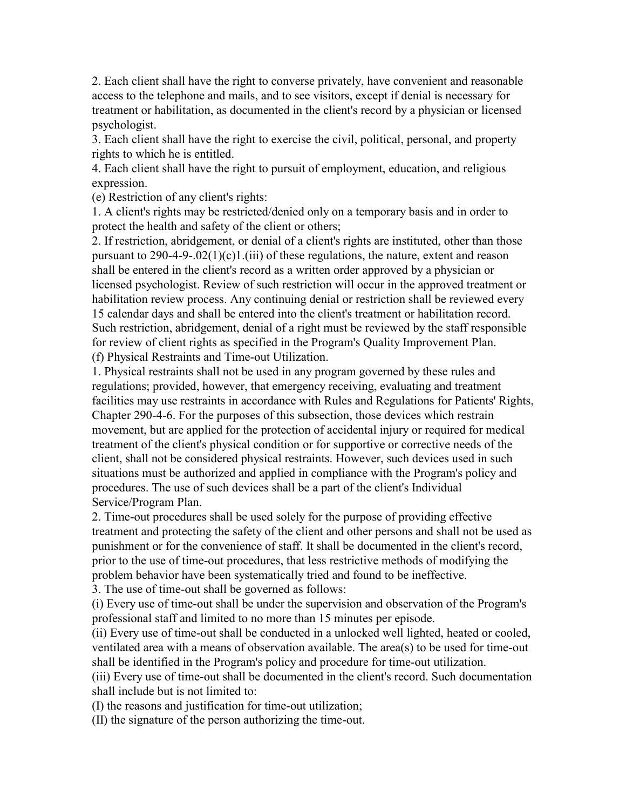2. Each client shall have the right to converse privately, have convenient and reasonable access to the telephone and mails, and to see visitors, except if denial is necessary for treatment or habilitation, as documented in the client's record by a physician or licensed psychologist.

3. Each client shall have the right to exercise the civil, political, personal, and property rights to which he is entitled.

4. Each client shall have the right to pursuit of employment, education, and religious expression.

(e) Restriction of any client's rights:

1. A client's rights may be restricted/denied only on a temporary basis and in order to protect the health and safety of the client or others;

2. If restriction, abridgement, or denial of a client's rights are instituted, other than those pursuant to  $290-4-9-02(1)(c)1(iii)$  of these regulations, the nature, extent and reason shall be entered in the client's record as a written order approved by a physician or licensed psychologist. Review of such restriction will occur in the approved treatment or habilitation review process. Any continuing denial or restriction shall be reviewed every 15 calendar days and shall be entered into the client's treatment or habilitation record. Such restriction, abridgement, denial of a right must be reviewed by the staff responsible for review of client rights as specified in the Program's Quality Improvement Plan. (f) Physical Restraints and Time-out Utilization.

1. Physical restraints shall not be used in any program governed by these rules and regulations; provided, however, that emergency receiving, evaluating and treatment facilities may use restraints in accordance with Rules and Regulations for Patients' Rights, Chapter 290-4-6. For the purposes of this subsection, those devices which restrain movement, but are applied for the protection of accidental injury or required for medical treatment of the client's physical condition or for supportive or corrective needs of the client, shall not be considered physical restraints. However, such devices used in such situations must be authorized and applied in compliance with the Program's policy and procedures. The use of such devices shall be a part of the client's Individual Service/Program Plan.

2. Time-out procedures shall be used solely for the purpose of providing effective treatment and protecting the safety of the client and other persons and shall not be used as punishment or for the convenience of staff. It shall be documented in the client's record, prior to the use of time-out procedures, that less restrictive methods of modifying the problem behavior have been systematically tried and found to be ineffective.

3. The use of time-out shall be governed as follows:

(i) Every use of time-out shall be under the supervision and observation of the Program's professional staff and limited to no more than 15 minutes per episode.

(ii) Every use of time-out shall be conducted in a unlocked well lighted, heated or cooled, ventilated area with a means of observation available. The area(s) to be used for time-out shall be identified in the Program's policy and procedure for time-out utilization.

(iii) Every use of time-out shall be documented in the client's record. Such documentation shall include but is not limited to:

(I) the reasons and justification for time-out utilization;

(II) the signature of the person authorizing the time-out.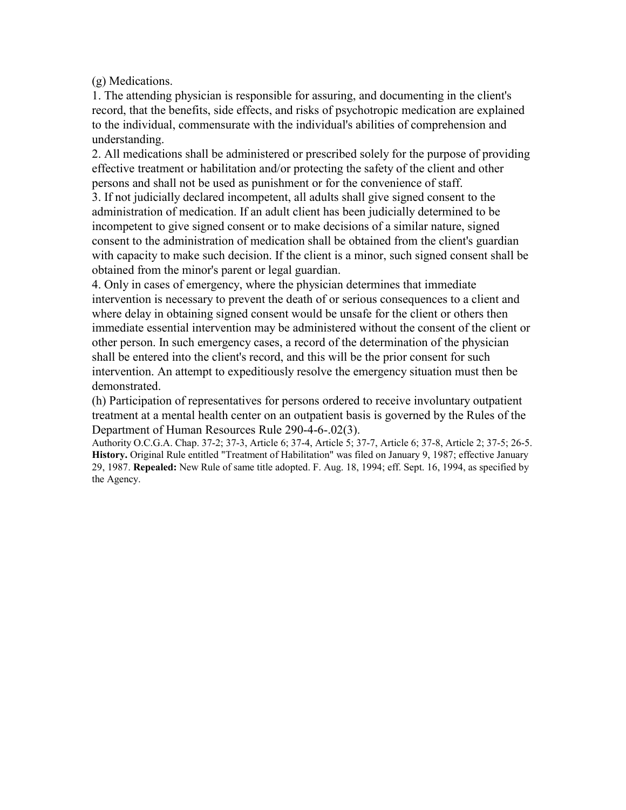(g) Medications.

1. The attending physician is responsible for assuring, and documenting in the client's record, that the benefits, side effects, and risks of psychotropic medication are explained to the individual, commensurate with the individual's abilities of comprehension and understanding.

2. All medications shall be administered or prescribed solely for the purpose of providing effective treatment or habilitation and/or protecting the safety of the client and other persons and shall not be used as punishment or for the convenience of staff.

3. If not judicially declared incompetent, all adults shall give signed consent to the administration of medication. If an adult client has been judicially determined to be incompetent to give signed consent or to make decisions of a similar nature, signed consent to the administration of medication shall be obtained from the client's guardian with capacity to make such decision. If the client is a minor, such signed consent shall be obtained from the minor's parent or legal guardian.

4. Only in cases of emergency, where the physician determines that immediate intervention is necessary to prevent the death of or serious consequences to a client and where delay in obtaining signed consent would be unsafe for the client or others then immediate essential intervention may be administered without the consent of the client or other person. In such emergency cases, a record of the determination of the physician shall be entered into the client's record, and this will be the prior consent for such intervention. An attempt to expeditiously resolve the emergency situation must then be demonstrated.

(h) Participation of representatives for persons ordered to receive involuntary outpatient treatment at a mental health center on an outpatient basis is governed by the Rules of the Department of Human Resources Rule 290-4-6-.02(3).

Authority O.C.G.A. Chap. 37-2; 37-3, Article 6; 37-4, Article 5; 37-7, Article 6; 37-8, Article 2; 37-5; 26-5. **History.** Original Rule entitled "Treatment of Habilitation" was filed on January 9, 1987; effective January 29, 1987. **Repealed:** New Rule of same title adopted. F. Aug. 18, 1994; eff. Sept. 16, 1994, as specified by the Agency.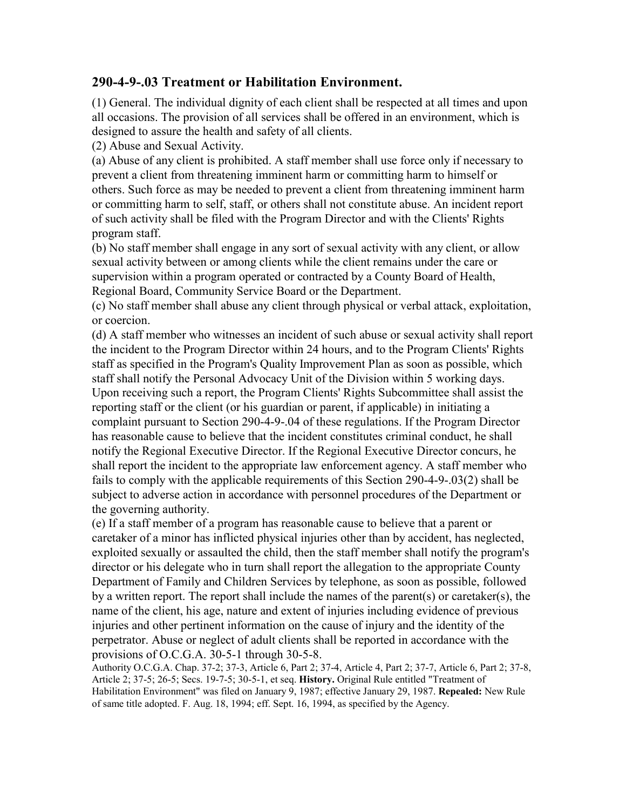#### **290-4-9-.03 Treatment or Habilitation Environment.**

(1) General. The individual dignity of each client shall be respected at all times and upon all occasions. The provision of all services shall be offered in an environment, which is designed to assure the health and safety of all clients.

(2) Abuse and Sexual Activity.

(a) Abuse of any client is prohibited. A staff member shall use force only if necessary to prevent a client from threatening imminent harm or committing harm to himself or others. Such force as may be needed to prevent a client from threatening imminent harm or committing harm to self, staff, or others shall not constitute abuse. An incident report of such activity shall be filed with the Program Director and with the Clients' Rights program staff.

(b) No staff member shall engage in any sort of sexual activity with any client, or allow sexual activity between or among clients while the client remains under the care or supervision within a program operated or contracted by a County Board of Health, Regional Board, Community Service Board or the Department.

(c) No staff member shall abuse any client through physical or verbal attack, exploitation, or coercion.

(d) A staff member who witnesses an incident of such abuse or sexual activity shall report the incident to the Program Director within 24 hours, and to the Program Clients' Rights staff as specified in the Program's Quality Improvement Plan as soon as possible, which staff shall notify the Personal Advocacy Unit of the Division within 5 working days. Upon receiving such a report, the Program Clients' Rights Subcommittee shall assist the reporting staff or the client (or his guardian or parent, if applicable) in initiating a complaint pursuant to Section 290-4-9-.04 of these regulations. If the Program Director has reasonable cause to believe that the incident constitutes criminal conduct, he shall notify the Regional Executive Director. If the Regional Executive Director concurs, he shall report the incident to the appropriate law enforcement agency. A staff member who fails to comply with the applicable requirements of this Section 290-4-9-.03(2) shall be subject to adverse action in accordance with personnel procedures of the Department or the governing authority.

(e) If a staff member of a program has reasonable cause to believe that a parent or caretaker of a minor has inflicted physical injuries other than by accident, has neglected, exploited sexually or assaulted the child, then the staff member shall notify the program's director or his delegate who in turn shall report the allegation to the appropriate County Department of Family and Children Services by telephone, as soon as possible, followed by a written report. The report shall include the names of the parent(s) or caretaker(s), the name of the client, his age, nature and extent of injuries including evidence of previous injuries and other pertinent information on the cause of injury and the identity of the perpetrator. Abuse or neglect of adult clients shall be reported in accordance with the provisions of O.C.G.A. 30-5-1 through 30-5-8.

Authority O.C.G.A. Chap. 37-2; 37-3, Article 6, Part 2; 37-4, Article 4, Part 2; 37-7, Article 6, Part 2; 37-8, Article 2; 37-5; 26-5; Secs. 19-7-5; 30-5-1, et seq. **History.** Original Rule entitled "Treatment of Habilitation Environment" was filed on January 9, 1987; effective January 29, 1987. **Repealed:** New Rule of same title adopted. F. Aug. 18, 1994; eff. Sept. 16, 1994, as specified by the Agency.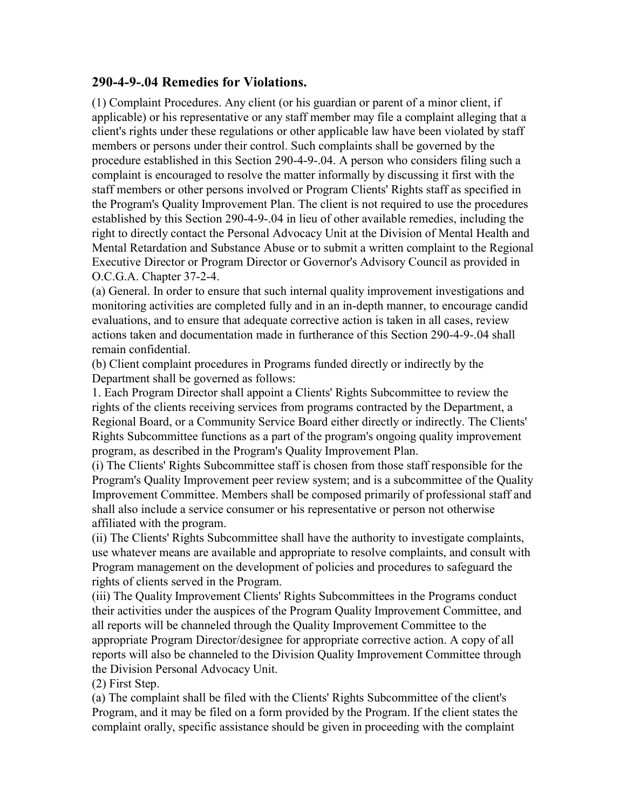#### **290-4-9-.04 Remedies for Violations.**

(1) Complaint Procedures. Any client (or his guardian or parent of a minor client, if applicable) or his representative or any staff member may file a complaint alleging that a client's rights under these regulations or other applicable law have been violated by staff members or persons under their control. Such complaints shall be governed by the procedure established in this Section 290-4-9-.04. A person who considers filing such a complaint is encouraged to resolve the matter informally by discussing it first with the staff members or other persons involved or Program Clients' Rights staff as specified in the Program's Quality Improvement Plan. The client is not required to use the procedures established by this Section 290-4-9-.04 in lieu of other available remedies, including the right to directly contact the Personal Advocacy Unit at the Division of Mental Health and Mental Retardation and Substance Abuse or to submit a written complaint to the Regional Executive Director or Program Director or Governor's Advisory Council as provided in O.C.G.A. Chapter 37-2-4.

(a) General. In order to ensure that such internal quality improvement investigations and monitoring activities are completed fully and in an in-depth manner, to encourage candid evaluations, and to ensure that adequate corrective action is taken in all cases, review actions taken and documentation made in furtherance of this Section 290-4-9-.04 shall remain confidential.

(b) Client complaint procedures in Programs funded directly or indirectly by the Department shall be governed as follows:

1. Each Program Director shall appoint a Clients' Rights Subcommittee to review the rights of the clients receiving services from programs contracted by the Department, a Regional Board, or a Community Service Board either directly or indirectly. The Clients' Rights Subcommittee functions as a part of the program's ongoing quality improvement program, as described in the Program's Quality Improvement Plan.

(i) The Clients' Rights Subcommittee staff is chosen from those staff responsible for the Program's Quality Improvement peer review system; and is a subcommittee of the Quality Improvement Committee. Members shall be composed primarily of professional staff and shall also include a service consumer or his representative or person not otherwise affiliated with the program.

(ii) The Clients' Rights Subcommittee shall have the authority to investigate complaints, use whatever means are available and appropriate to resolve complaints, and consult with Program management on the development of policies and procedures to safeguard the rights of clients served in the Program.

(iii) The Quality Improvement Clients' Rights Subcommittees in the Programs conduct their activities under the auspices of the Program Quality Improvement Committee, and all reports will be channeled through the Quality Improvement Committee to the appropriate Program Director/designee for appropriate corrective action. A copy of all reports will also be channeled to the Division Quality Improvement Committee through the Division Personal Advocacy Unit.

(2) First Step.

(a) The complaint shall be filed with the Clients' Rights Subcommittee of the client's Program, and it may be filed on a form provided by the Program. If the client states the complaint orally, specific assistance should be given in proceeding with the complaint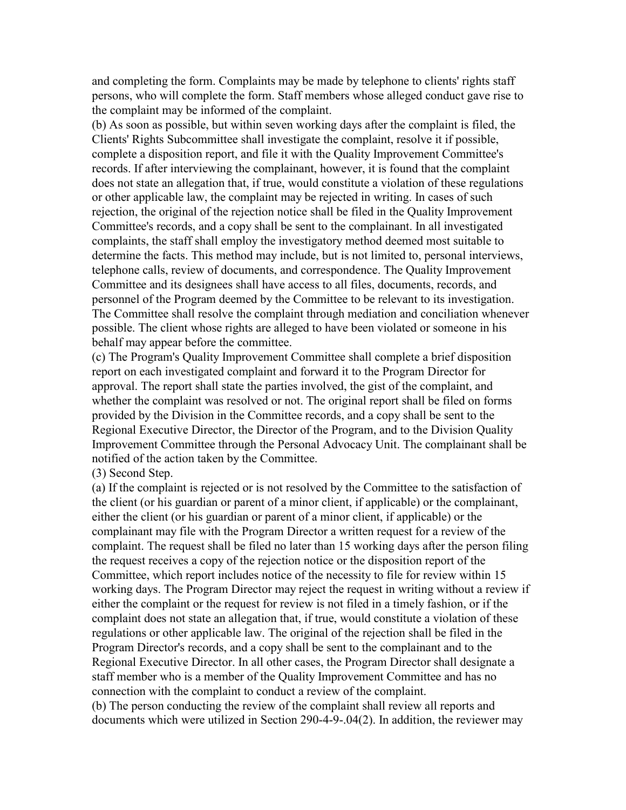and completing the form. Complaints may be made by telephone to clients' rights staff persons, who will complete the form. Staff members whose alleged conduct gave rise to the complaint may be informed of the complaint.

(b) As soon as possible, but within seven working days after the complaint is filed, the Clients' Rights Subcommittee shall investigate the complaint, resolve it if possible, complete a disposition report, and file it with the Quality Improvement Committee's records. If after interviewing the complainant, however, it is found that the complaint does not state an allegation that, if true, would constitute a violation of these regulations or other applicable law, the complaint may be rejected in writing. In cases of such rejection, the original of the rejection notice shall be filed in the Quality Improvement Committee's records, and a copy shall be sent to the complainant. In all investigated complaints, the staff shall employ the investigatory method deemed most suitable to determine the facts. This method may include, but is not limited to, personal interviews, telephone calls, review of documents, and correspondence. The Quality Improvement Committee and its designees shall have access to all files, documents, records, and personnel of the Program deemed by the Committee to be relevant to its investigation. The Committee shall resolve the complaint through mediation and conciliation whenever possible. The client whose rights are alleged to have been violated or someone in his behalf may appear before the committee.

(c) The Program's Quality Improvement Committee shall complete a brief disposition report on each investigated complaint and forward it to the Program Director for approval. The report shall state the parties involved, the gist of the complaint, and whether the complaint was resolved or not. The original report shall be filed on forms provided by the Division in the Committee records, and a copy shall be sent to the Regional Executive Director, the Director of the Program, and to the Division Quality Improvement Committee through the Personal Advocacy Unit. The complainant shall be notified of the action taken by the Committee.

#### (3) Second Step.

(a) If the complaint is rejected or is not resolved by the Committee to the satisfaction of the client (or his guardian or parent of a minor client, if applicable) or the complainant, either the client (or his guardian or parent of a minor client, if applicable) or the complainant may file with the Program Director a written request for a review of the complaint. The request shall be filed no later than 15 working days after the person filing the request receives a copy of the rejection notice or the disposition report of the Committee, which report includes notice of the necessity to file for review within 15 working days. The Program Director may reject the request in writing without a review if either the complaint or the request for review is not filed in a timely fashion, or if the complaint does not state an allegation that, if true, would constitute a violation of these regulations or other applicable law. The original of the rejection shall be filed in the Program Director's records, and a copy shall be sent to the complainant and to the Regional Executive Director. In all other cases, the Program Director shall designate a staff member who is a member of the Quality Improvement Committee and has no connection with the complaint to conduct a review of the complaint.

(b) The person conducting the review of the complaint shall review all reports and documents which were utilized in Section 290-4-9-.04(2). In addition, the reviewer may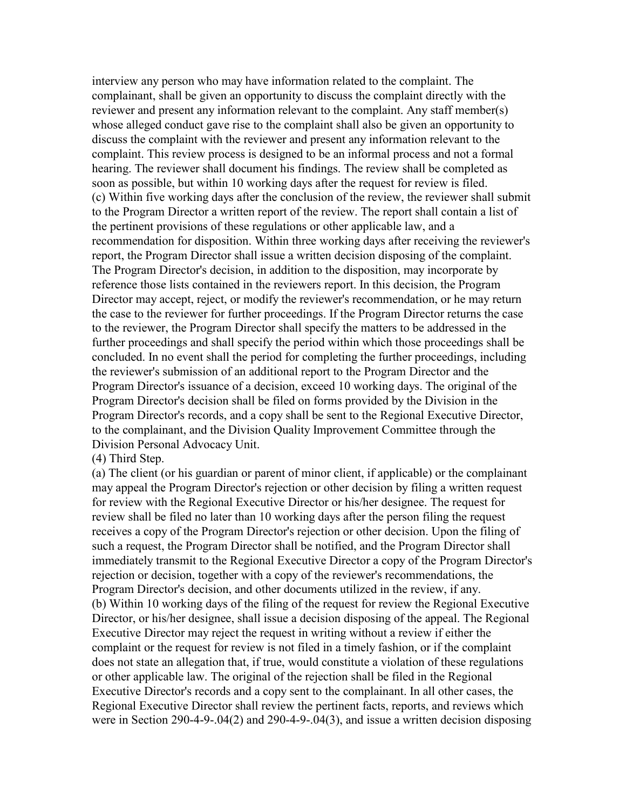interview any person who may have information related to the complaint. The complainant, shall be given an opportunity to discuss the complaint directly with the reviewer and present any information relevant to the complaint. Any staff member(s) whose alleged conduct gave rise to the complaint shall also be given an opportunity to discuss the complaint with the reviewer and present any information relevant to the complaint. This review process is designed to be an informal process and not a formal hearing. The reviewer shall document his findings. The review shall be completed as soon as possible, but within 10 working days after the request for review is filed. (c) Within five working days after the conclusion of the review, the reviewer shall submit to the Program Director a written report of the review. The report shall contain a list of the pertinent provisions of these regulations or other applicable law, and a recommendation for disposition. Within three working days after receiving the reviewer's report, the Program Director shall issue a written decision disposing of the complaint. The Program Director's decision, in addition to the disposition, may incorporate by reference those lists contained in the reviewers report. In this decision, the Program Director may accept, reject, or modify the reviewer's recommendation, or he may return the case to the reviewer for further proceedings. If the Program Director returns the case to the reviewer, the Program Director shall specify the matters to be addressed in the further proceedings and shall specify the period within which those proceedings shall be concluded. In no event shall the period for completing the further proceedings, including the reviewer's submission of an additional report to the Program Director and the Program Director's issuance of a decision, exceed 10 working days. The original of the Program Director's decision shall be filed on forms provided by the Division in the Program Director's records, and a copy shall be sent to the Regional Executive Director, to the complainant, and the Division Quality Improvement Committee through the Division Personal Advocacy Unit.

(4) Third Step.

(a) The client (or his guardian or parent of minor client, if applicable) or the complainant may appeal the Program Director's rejection or other decision by filing a written request for review with the Regional Executive Director or his/her designee. The request for review shall be filed no later than 10 working days after the person filing the request receives a copy of the Program Director's rejection or other decision. Upon the filing of such a request, the Program Director shall be notified, and the Program Director shall immediately transmit to the Regional Executive Director a copy of the Program Director's rejection or decision, together with a copy of the reviewer's recommendations, the Program Director's decision, and other documents utilized in the review, if any. (b) Within 10 working days of the filing of the request for review the Regional Executive Director, or his/her designee, shall issue a decision disposing of the appeal. The Regional Executive Director may reject the request in writing without a review if either the complaint or the request for review is not filed in a timely fashion, or if the complaint does not state an allegation that, if true, would constitute a violation of these regulations or other applicable law. The original of the rejection shall be filed in the Regional Executive Director's records and a copy sent to the complainant. In all other cases, the Regional Executive Director shall review the pertinent facts, reports, and reviews which were in Section 290-4-9-.04(2) and 290-4-9-.04(3), and issue a written decision disposing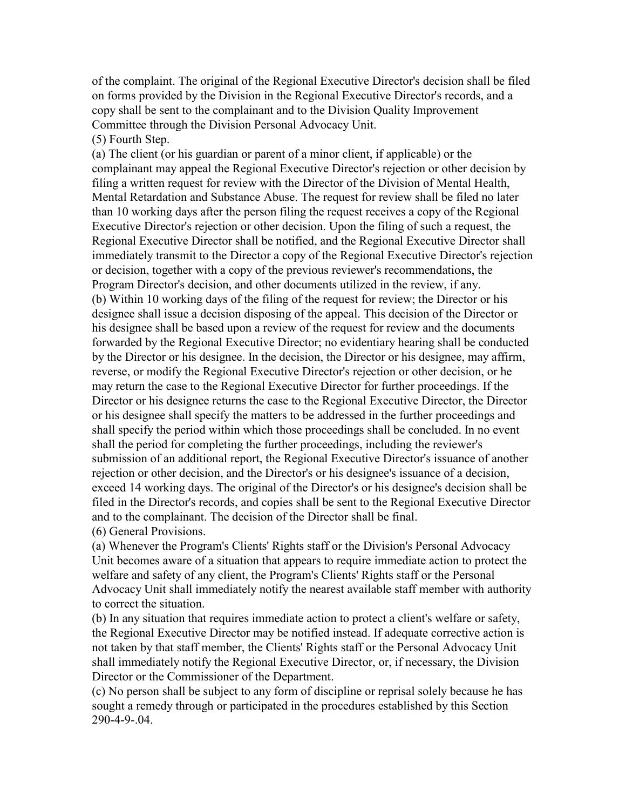of the complaint. The original of the Regional Executive Director's decision shall be filed on forms provided by the Division in the Regional Executive Director's records, and a copy shall be sent to the complainant and to the Division Quality Improvement Committee through the Division Personal Advocacy Unit.

(5) Fourth Step.

(a) The client (or his guardian or parent of a minor client, if applicable) or the complainant may appeal the Regional Executive Director's rejection or other decision by filing a written request for review with the Director of the Division of Mental Health, Mental Retardation and Substance Abuse. The request for review shall be filed no later than 10 working days after the person filing the request receives a copy of the Regional Executive Director's rejection or other decision. Upon the filing of such a request, the Regional Executive Director shall be notified, and the Regional Executive Director shall immediately transmit to the Director a copy of the Regional Executive Director's rejection or decision, together with a copy of the previous reviewer's recommendations, the Program Director's decision, and other documents utilized in the review, if any. (b) Within 10 working days of the filing of the request for review; the Director or his designee shall issue a decision disposing of the appeal. This decision of the Director or his designee shall be based upon a review of the request for review and the documents forwarded by the Regional Executive Director; no evidentiary hearing shall be conducted by the Director or his designee. In the decision, the Director or his designee, may affirm, reverse, or modify the Regional Executive Director's rejection or other decision, or he may return the case to the Regional Executive Director for further proceedings. If the Director or his designee returns the case to the Regional Executive Director, the Director or his designee shall specify the matters to be addressed in the further proceedings and shall specify the period within which those proceedings shall be concluded. In no event shall the period for completing the further proceedings, including the reviewer's submission of an additional report, the Regional Executive Director's issuance of another rejection or other decision, and the Director's or his designee's issuance of a decision, exceed 14 working days. The original of the Director's or his designee's decision shall be filed in the Director's records, and copies shall be sent to the Regional Executive Director and to the complainant. The decision of the Director shall be final. (6) General Provisions.

(a) Whenever the Program's Clients' Rights staff or the Division's Personal Advocacy Unit becomes aware of a situation that appears to require immediate action to protect the welfare and safety of any client, the Program's Clients' Rights staff or the Personal Advocacy Unit shall immediately notify the nearest available staff member with authority to correct the situation.

(b) In any situation that requires immediate action to protect a client's welfare or safety, the Regional Executive Director may be notified instead. If adequate corrective action is not taken by that staff member, the Clients' Rights staff or the Personal Advocacy Unit shall immediately notify the Regional Executive Director, or, if necessary, the Division Director or the Commissioner of the Department.

(c) No person shall be subject to any form of discipline or reprisal solely because he has sought a remedy through or participated in the procedures established by this Section 290-4-9-.04.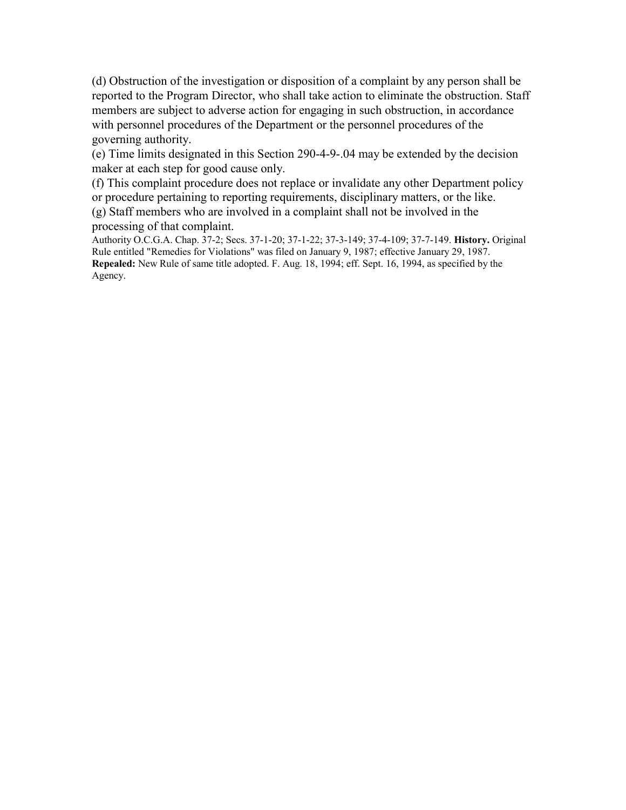(d) Obstruction of the investigation or disposition of a complaint by any person shall be reported to the Program Director, who shall take action to eliminate the obstruction. Staff members are subject to adverse action for engaging in such obstruction, in accordance with personnel procedures of the Department or the personnel procedures of the governing authority.

(e) Time limits designated in this Section 290-4-9-.04 may be extended by the decision maker at each step for good cause only.

(f) This complaint procedure does not replace or invalidate any other Department policy or procedure pertaining to reporting requirements, disciplinary matters, or the like. (g) Staff members who are involved in a complaint shall not be involved in the processing of that complaint.

Authority O.C.G.A. Chap. 37-2; Secs. 37-1-20; 37-1-22; 37-3-149; 37-4-109; 37-7-149. **History.** Original Rule entitled "Remedies for Violations" was filed on January 9, 1987; effective January 29, 1987. **Repealed:** New Rule of same title adopted. F. Aug. 18, 1994; eff. Sept. 16, 1994, as specified by the Agency.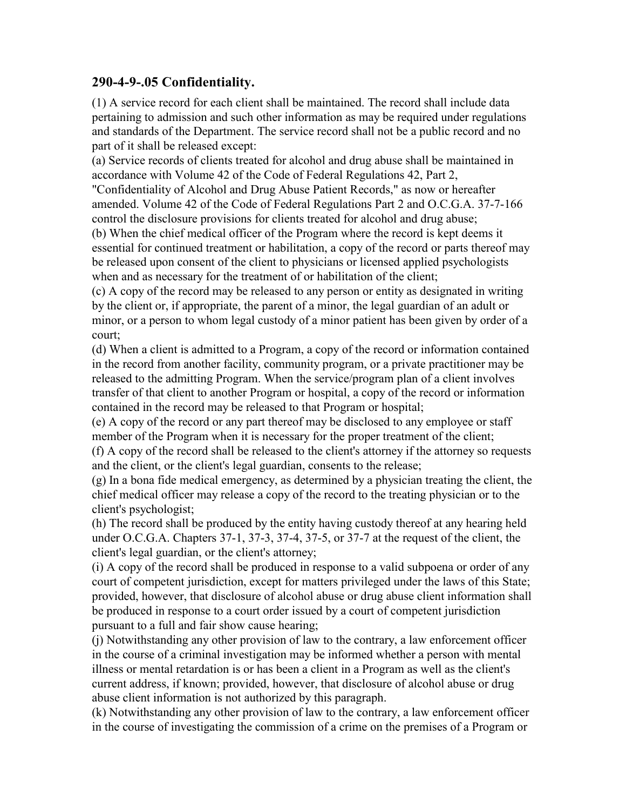#### **290-4-9-.05 Confidentiality.**

(1) A service record for each client shall be maintained. The record shall include data pertaining to admission and such other information as may be required under regulations and standards of the Department. The service record shall not be a public record and no part of it shall be released except:

(a) Service records of clients treated for alcohol and drug abuse shall be maintained in accordance with Volume 42 of the Code of Federal Regulations 42, Part 2,

"Confidentiality of Alcohol and Drug Abuse Patient Records," as now or hereafter amended. Volume 42 of the Code of Federal Regulations Part 2 and O.C.G.A. 37-7-166 control the disclosure provisions for clients treated for alcohol and drug abuse;

(b) When the chief medical officer of the Program where the record is kept deems it essential for continued treatment or habilitation, a copy of the record or parts thereof may be released upon consent of the client to physicians or licensed applied psychologists when and as necessary for the treatment of or habilitation of the client;

(c) A copy of the record may be released to any person or entity as designated in writing by the client or, if appropriate, the parent of a minor, the legal guardian of an adult or minor, or a person to whom legal custody of a minor patient has been given by order of a court;

(d) When a client is admitted to a Program, a copy of the record or information contained in the record from another facility, community program, or a private practitioner may be released to the admitting Program. When the service/program plan of a client involves transfer of that client to another Program or hospital, a copy of the record or information contained in the record may be released to that Program or hospital;

(e) A copy of the record or any part thereof may be disclosed to any employee or staff member of the Program when it is necessary for the proper treatment of the client;

(f) A copy of the record shall be released to the client's attorney if the attorney so requests and the client, or the client's legal guardian, consents to the release;

(g) In a bona fide medical emergency, as determined by a physician treating the client, the chief medical officer may release a copy of the record to the treating physician or to the client's psychologist;

(h) The record shall be produced by the entity having custody thereof at any hearing held under O.C.G.A. Chapters 37-1, 37-3, 37-4, 37-5, or 37-7 at the request of the client, the client's legal guardian, or the client's attorney;

(i) A copy of the record shall be produced in response to a valid subpoena or order of any court of competent jurisdiction, except for matters privileged under the laws of this State; provided, however, that disclosure of alcohol abuse or drug abuse client information shall be produced in response to a court order issued by a court of competent jurisdiction pursuant to a full and fair show cause hearing;

(j) Notwithstanding any other provision of law to the contrary, a law enforcement officer in the course of a criminal investigation may be informed whether a person with mental illness or mental retardation is or has been a client in a Program as well as the client's current address, if known; provided, however, that disclosure of alcohol abuse or drug abuse client information is not authorized by this paragraph.

(k) Notwithstanding any other provision of law to the contrary, a law enforcement officer in the course of investigating the commission of a crime on the premises of a Program or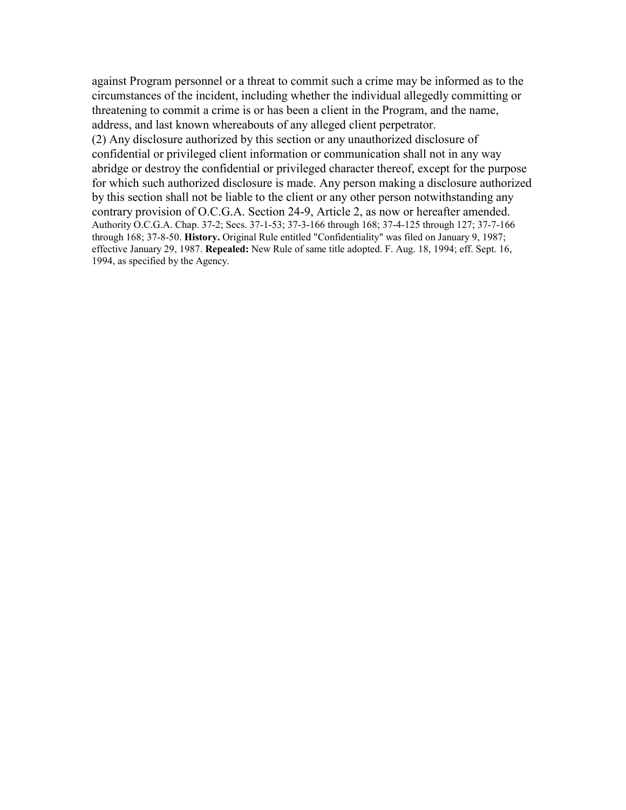against Program personnel or a threat to commit such a crime may be informed as to the circumstances of the incident, including whether the individual allegedly committing or threatening to commit a crime is or has been a client in the Program, and the name, address, and last known whereabouts of any alleged client perpetrator. (2) Any disclosure authorized by this section or any unauthorized disclosure of confidential or privileged client information or communication shall not in any way abridge or destroy the confidential or privileged character thereof, except for the purpose for which such authorized disclosure is made. Any person making a disclosure authorized by this section shall not be liable to the client or any other person notwithstanding any contrary provision of O.C.G.A. Section 24-9, Article 2, as now or hereafter amended. Authority O.C.G.A. Chap. 37-2; Secs. 37-1-53; 37-3-166 through 168; 37-4-125 through 127; 37-7-166 through 168; 37-8-50. **History.** Original Rule entitled "Confidentiality" was filed on January 9, 1987; effective January 29, 1987. **Repealed:** New Rule of same title adopted. F. Aug. 18, 1994; eff. Sept. 16, 1994, as specified by the Agency.